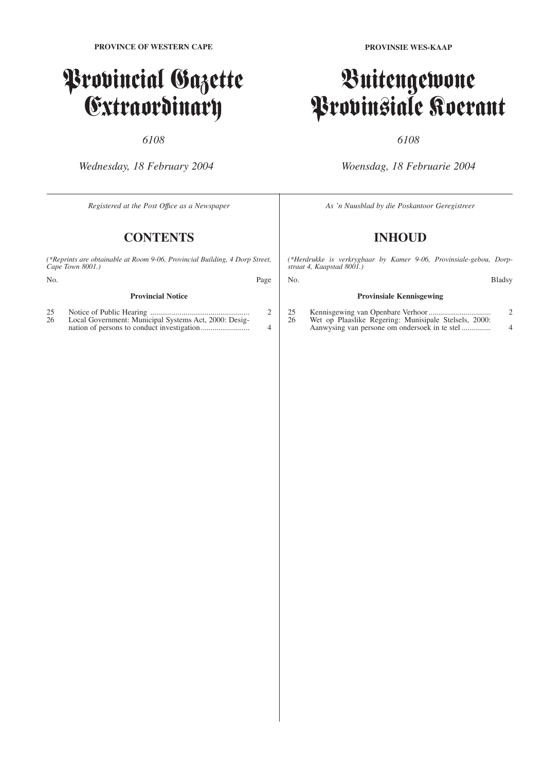# Provincial Gazette Extraordinary

## *6108*

*Wednesday, 18 February 2004*

*Registered at the Post Offıce as a Newspaper*

# **CONTENTS**

*(\*Reprints are obtainable at Room 9-06, Provincial Building, 4 Dorp Street, Cape Town 8001.)*

| No. |                          | Page |
|-----|--------------------------|------|
|     | <b>Provincial Notice</b> |      |

| 25 |                                                       |          |
|----|-------------------------------------------------------|----------|
| 26 | Local Government: Municipal Systems Act, 2000: Desig- |          |
|    |                                                       | $\Delta$ |

**PROVINSIE WES-KAAP**

# Buitengewone Provinsiale Koerant

## *6108*

*Woensdag, 18 Februarie 2004*

*As 'n Nuusblad by die Poskantoor Geregistreer*

# **INHOUD**

*(\*Herdrukke is verkrygbaar by Kamer 9-06, Provinsiale-gebou, Dorpstraat 4, Kaapstad 8001.)*

| No. |                                 | <b>Bladsy</b> |
|-----|---------------------------------|---------------|
|     | <b>Provinsiale Kennisgewing</b> |               |

#### 25 Kennisgewing van Openbare Verhoor ................................ 2 26 Wet op Plaaslike Regering: Munisipale Stelsels, 2000: Aanwysing van persone om ondersoek in te stel ............... 4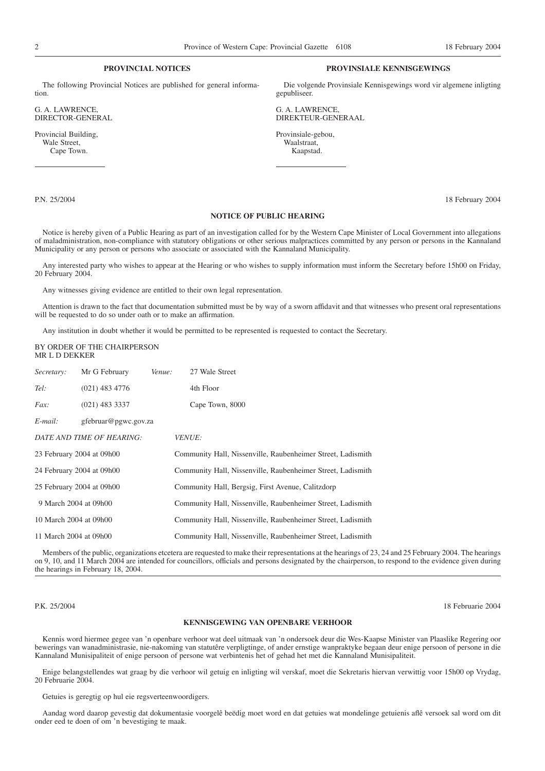### **PROVINCIAL NOTICES**

The following Provincial Notices are published for general information.

G. A. LAWRENCE, DIRECTOR-GENERAL

Provincial Building, Wale Street, Cape Town.

#### **PROVINSIALE KENNISGEWINGS**

Die volgende Provinsiale Kennisgewings word vir algemene inligting gepubliseer.

G. A. LAWRENCE, DIREKTEUR-GENERAAL

Provinsiale-gebou, Waalstraat, Kaapstad.

P.N. 25/2004 18 February 2004

### **NOTICE OF PUBLIC HEARING**

Notice is hereby given of a Public Hearing as part of an investigation called for by the Western Cape Minister of Local Government into allegations of maladministration, non-compliance with statutory obligations or other serious malpractices committed by any person or persons in the Kannaland Municipality or any person or persons who associate or associated with the Kannaland Municipality.

Any interested party who wishes to appear at the Hearing or who wishes to supply information must inform the Secretary before 15h00 on Friday, 20 February 2004.

Any witnesses giving evidence are entitled to their own legal representation.

Attention is drawn to the fact that documentation submitted must be by way of a sworn affidavit and that witnesses who present oral representations will be requested to do so under oath or to make an affirmation.

Any institution in doubt whether it would be permitted to be represented is requested to contact the Secretary.

#### BY ORDER OF THE CHAIRPERSON MR L D DEKKER

| Secretary:                | Mr G February        | Venue: | 27 Wale Street                                              |  |
|---------------------------|----------------------|--------|-------------------------------------------------------------|--|
| Tel:                      | $(021)$ 483 4776     |        | 4th Floor                                                   |  |
| <i>Fax:</i>               | $(021)$ 483 3337     |        | Cape Town, 8000                                             |  |
| $E$ -mail:                | gfebruar@pgwc.gov.za |        |                                                             |  |
| DATE AND TIME OF HEARING: |                      |        | <i>VENUE:</i>                                               |  |
| 23 February 2004 at 09h00 |                      |        | Community Hall, Nissenville, Raubenheimer Street, Ladismith |  |
| 24 February 2004 at 09h00 |                      |        | Community Hall, Nissenville, Raubenheimer Street, Ladismith |  |
| 25 February 2004 at 09h00 |                      |        | Community Hall, Bergsig, First Avenue, Calitzdorp           |  |
| 9 March 2004 at 09h00     |                      |        | Community Hall, Nissenville, Raubenheimer Street, Ladismith |  |
| 10 March 2004 at 09h00    |                      |        | Community Hall, Nissenville, Raubenheimer Street, Ladismith |  |
| 11 March 2004 at 09h00    |                      |        | Community Hall, Nissenville, Raubenheimer Street, Ladismith |  |

Members of the public, organizations etcetera are requested to make their representations at the hearings of 23, 24 and 25 February 2004. The hearings on 9, 10, and 11 March 2004 are intended for councillors, officials and persons designated by the chairperson, to respond to the evidence given during the hearings in February 18, 2004.

P.K. 25/2004 18 Februarie 2004

#### **KENNISGEWING VAN OPENBARE VERHOOR**

Kennis word hiermee gegee van 'n openbare verhoor wat deel uitmaak van 'n ondersoek deur die Wes-Kaapse Minister van Plaaslike Regering oor bewerings van wanadministrasie, nie-nakoming van statutêre verpligtinge, of ander ernstige wanpraktyke begaan deur enige persoon of persone in die Kannaland Munisipaliteit of enige persoon of persone wat verbintenis het of gehad het met die Kannaland Munisipaliteit.

Enige belangstellendes wat graag by die verhoor wil getuig en inligting wil verskaf, moet die Sekretaris hiervan verwittig voor 15h00 op Vrydag, 20 Februarie 2004.

Getuies is geregtig op hul eie regsverteenwoordigers.

Aandag word daarop gevestig dat dokumentasie voorgelê beëdig moet word en dat getuies wat mondelinge getuienis aflê versoek sal word om dit onder eed te doen of om 'n bevestiging te maak.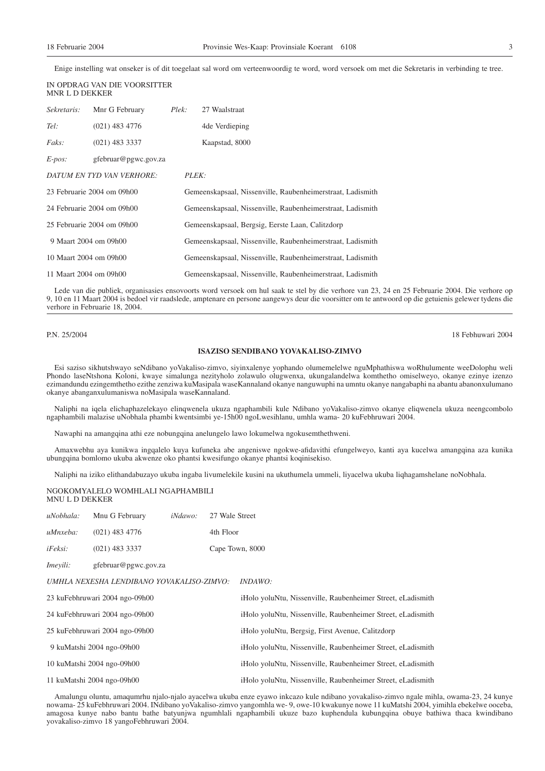Enige instelling wat onseker is of dit toegelaat sal word om verteenwoordig te word, word versoek om met die Sekretaris in verbinding te tree.

| MNR L D DEKKER         | IN OPDRAG VAN DIE VOORSITTER |       |                                                            |  |  |
|------------------------|------------------------------|-------|------------------------------------------------------------|--|--|
| Sekretaris:            | Mnr G February               | Plek: | 27 Waalstraat                                              |  |  |
| Tel:                   | $(021)$ 483 4776             |       | 4 de Verdieping                                            |  |  |
| <i>Faks:</i>           | $(021)$ 483 3337             |       | Kaapstad, 8000                                             |  |  |
| $E$ -pos:              | gfebruar@pgwc.gov.za         |       |                                                            |  |  |
|                        | DATUM EN TYD VAN VERHORE:    |       | PLEK:                                                      |  |  |
|                        | 23 Februarie 2004 om 09h00   |       | Gemeenskapsaal, Nissenville, Raubenheimerstraat, Ladismith |  |  |
|                        | 24 Februarie 2004 om 09h00   |       | Gemeenskapsaal, Nissenville, Raubenheimerstraat, Ladismith |  |  |
|                        | 25 Februarie 2004 om 09h00   |       | Gemeenskapsaal, Bergsig, Eerste Laan, Calitzdorp           |  |  |
| 9 Maart 2004 om 09h00  |                              |       | Gemeenskapsaal, Nissenville, Raubenheimerstraat, Ladismith |  |  |
| 10 Maart 2004 om 09h00 |                              |       | Gemeenskapsaal, Nissenville, Raubenheimerstraat, Ladismith |  |  |
| 11 Maart 2004 om 09h00 |                              |       | Gemeenskapsaal, Nissenville, Raubenheimerstraat, Ladismith |  |  |

Lede van die publiek, organisasies ensovoorts word versoek om hul saak te stel by die verhore van 23, 24 en 25 Februarie 2004. Die verhore op 9, 10 en 11 Maart 2004 is bedoel vir raadslede, amptenare en persone aangewys deur die voorsitter om te antwoord op die getuienis gelewer tydens die verhore in Februarie 18, 2004.

## P.N. 25/2004 18 Febhuwari 2004

#### **ISAZISO SENDIBANO YOVAKALISO-ZIMVO**

Esi saziso sikhutshwayo seNdibano yoVakaliso-zimvo, siyinxalenye yophando olumemelelwe nguMphathiswa woRhulumente weeDolophu weli Phondo laseNtshona Koloni, kwaye simalunga nezityholo zolawulo olugwenxa, ukungalandelwa komthetho omiselweyo, okanye ezinye izenzo ezimandundu ezingemthetho ezithe zenziwa kuMasipala waseKannaland okanye nanguwuphi na umntu okanye nangabaphi na abantu abanonxulumano okanye abanganxulumaniswa noMasipala waseKannaland.

Naliphi na iqela elichaphazelekayo elinqwenela ukuza ngaphambili kule Ndibano yoVakaliso-zimvo okanye eliqwenela ukuza neengcombolo ngaphambili malazise uNobhala phambi kwentsimbi ye-15h00 ngoLwesihlanu, umhla wama- 20 kuFebhruwari 2004.

Nawaphi na amangqina athi eze nobungqina anelungelo lawo lokumelwa ngokusemthethweni.

Amaxwebhu aya kunikwa ingqalelo kuya kufuneka abe angeniswe ngokwe-afidavithi efungelweyo, kanti aya kucelwa amangqina aza kunika ubungqina bomlomo ukuba akwenze oko phantsi kwesifungo okanye phantsi koqinisekiso.

Naliphi na iziko elithandabuzayo ukuba ingaba livumelekile kusini na ukuthumela ummeli, liyacelwa ukuba liqhagamshelane noNobhala.

NGOKOMYALELO WOMHLALI NGAPHAMBILI MNU L D DEKKER

| uNobhala:                      | Mnu G February                            | <i>iNdawo</i> : | 27 Wale Street                                              |                                                             |
|--------------------------------|-------------------------------------------|-----------------|-------------------------------------------------------------|-------------------------------------------------------------|
| uMnxeba:                       | $(021)$ 483 4776                          |                 | 4th Floor                                                   |                                                             |
| iFeksi:                        | $(021)$ 483 3337                          |                 |                                                             | Cape Town, 8000                                             |
| Imevili:                       | gfebruar@pgwc.gov.za                      |                 |                                                             |                                                             |
|                                | UMHLA NEXESHA LENDIBANO YOVAKALISO-ZIMVO: |                 |                                                             | <i>INDAWO:</i>                                              |
| 23 kuFebhruwari 2004 ngo-09h00 |                                           |                 | iHolo yoluNtu, Nissenville, Raubenheimer Street, eLadismith |                                                             |
|                                | 24 kuFebhruwari 2004 ngo-09h00            |                 |                                                             | iHolo yoluNtu, Nissenville, Raubenheimer Street, eLadismith |
| 25 kuFebhruwari 2004 ngo-09h00 |                                           |                 | iHolo yoluNtu, Bergsig, First Avenue, Calitzdorp            |                                                             |
|                                | 9 kuMatshi 2004 ngo-09h00                 |                 |                                                             | iHolo yoluNtu, Nissenville, Raubenheimer Street, eLadismith |
|                                | 10 kuMatshi 2004 ngo-09h00                |                 |                                                             | iHolo yoluNtu, Nissenville, Raubenheimer Street, eLadismith |
|                                | 11 kuMatshi 2004 ngo-09h00                |                 |                                                             | iHolo yoluNtu, Nissenville, Raubenheimer Street, eLadismith |
|                                |                                           |                 |                                                             |                                                             |

Amalungu oluntu, amaqumrhu njalo-njalo ayacelwa ukuba enze eyawo inkcazo kule ndibano yovakaliso-zimvo ngale mihla, owama-23, 24 kunye nowama- 25 kuFebhruwari 2004. INdibano yoVakaliso-zimvo yangomhla we- 9, owe-10 kwakunye nowe 11 kuMatshi 2004, yimihla ebekelwe ooceba, amagosa kunye nabo bantu bathe batyunjwa ngumhlali ngaphambili ukuze bazo kuphendula kubungqina obuye bathiwa thaca kwindibano yovakaliso-zimvo 18 yangoFebhruwari 2004.